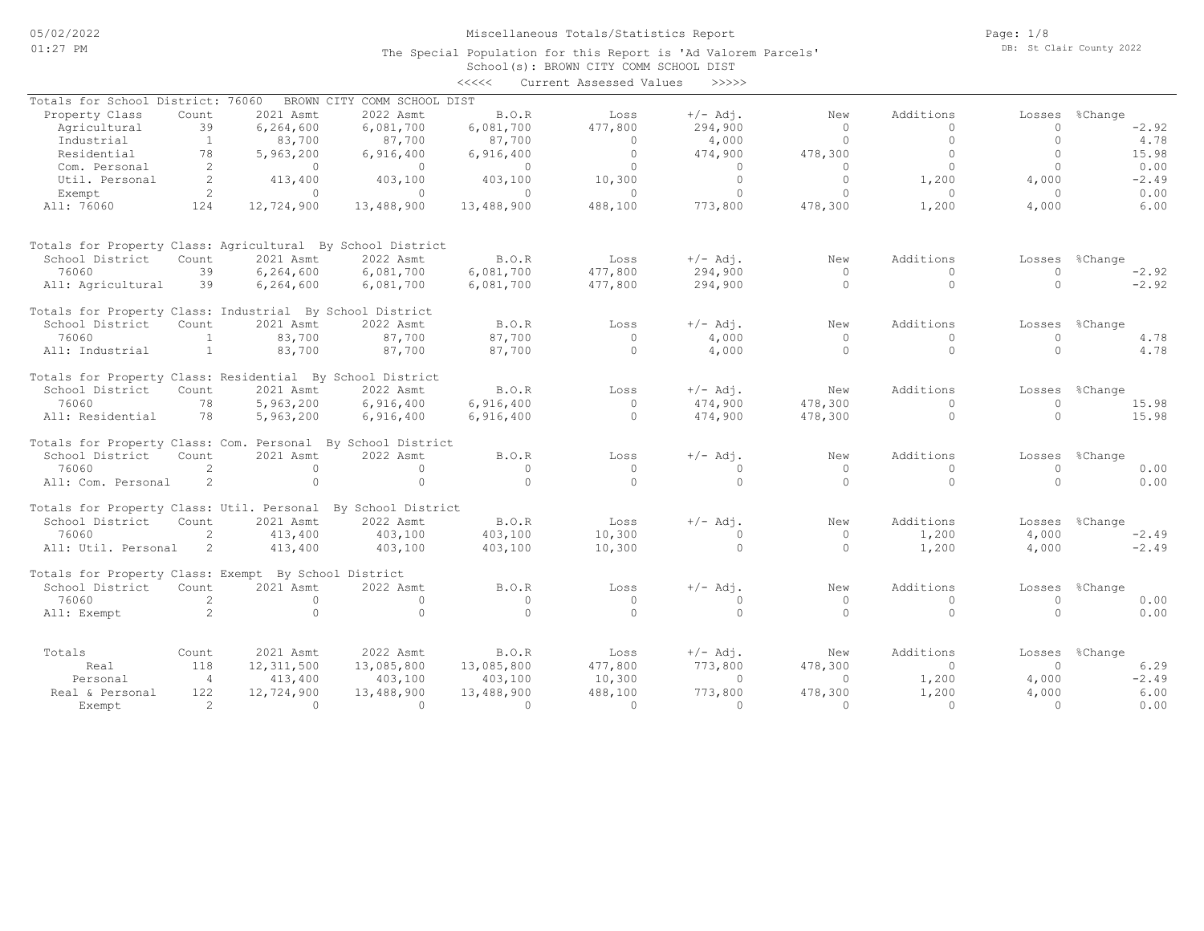The Special Population for this Report is 'Ad Valorem Parcels'

Page: 1/8 DB: St Clair County 2022

|                                                             |                |              |                             |            | School (s): BROWN CITY COMM SCHOOL DIST |            |          |           |                    |         |
|-------------------------------------------------------------|----------------|--------------|-----------------------------|------------|-----------------------------------------|------------|----------|-----------|--------------------|---------|
|                                                             |                |              |                             | <<<<       | Current Assessed Values                 | >>>>>      |          |           |                    |         |
| Totals for School District: 76060                           |                |              | BROWN CITY COMM SCHOOL DIST |            |                                         |            |          |           |                    |         |
| Property Class                                              | Count          | 2021 Asmt    | 2022 Asmt                   | B.O.R      | Loss                                    | $+/-$ Adj. | New      | Additions | Losses             | %Change |
| Agricultural                                                | 39             | 6,264,600    | 6,081,700                   | 6,081,700  | 477,800                                 | 294,900    | $\Omega$ | $\Omega$  | $\Omega$           | $-2.92$ |
| Industrial                                                  | 1              | 83,700       | 87,700                      | 87,700     | 0                                       | 4,000      | $\circ$  | $\circ$   | $\mathbf{0}$       | 4.78    |
| Residential                                                 | 78             | 5,963,200    | 6,916,400                   | 6,916,400  | $\circ$                                 | 474,900    | 478,300  | $\circ$   | $\Omega$           | 15.98   |
| Com. Personal                                               | 2              | $\Omega$     | $\Omega$                    | $\circ$    | $\circ$                                 | $\circ$    | $\Omega$ | $\circ$   | $\Omega$           | 0.00    |
| Util. Personal                                              | 2              | 413,400      | 403,100                     | 403,100    | 10,300                                  | $\Omega$   | $\Omega$ | 1,200     | 4,000              | $-2.49$ |
| Exempt                                                      | 2              | $\Omega$     | $\Omega$                    | $\Omega$   | $\Omega$                                | $\Omega$   | $\Omega$ | $\Omega$  | $\Omega$           | 0.00    |
| All: 76060                                                  | 124            | 12,724,900   | 13,488,900                  | 13,488,900 | 488,100                                 | 773,800    | 478,300  | 1,200     | 4,000              | 6.00    |
|                                                             |                |              |                             |            |                                         |            |          |           |                    |         |
| Totals for Property Class: Agricultural By School District  |                |              |                             |            |                                         |            |          |           |                    |         |
| School District                                             | Count          | 2021 Asmt    | 2022 Asmt                   | B.O.R      | Loss                                    | $+/-$ Adj. | New      | Additions | Losses             | %Change |
| 76060                                                       | 39             | 6,264,600    | 6,081,700                   | 6,081,700  | 477,800                                 | 294,900    | $\Omega$ | $\Omega$  | $\Omega$           | $-2.92$ |
| All: Agricultural                                           | 39             | 6, 264, 600  | 6,081,700                   | 6,081,700  | 477,800                                 | 294,900    | $\Omega$ | $\circ$   | $\Omega$           | $-2.92$ |
| Totals for Property Class: Industrial By School District    |                |              |                             |            |                                         |            |          |           |                    |         |
| School District                                             | Count          | 2021 Asmt    | 2022 Asmt                   | B.O.R      | Loss                                    | $+/-$ Adj. | New      | Additions | Losses             | %Change |
| 76060                                                       | $\overline{1}$ | 83,700       | 87,700                      | 87,700     | $\Omega$                                | 4,000      | $\Omega$ | $\Omega$  | $\Omega$           | 4.78    |
| All: Industrial                                             | 1              | 83,700       | 87,700                      | 87,700     | $\Omega$                                | 4,000      | $\Omega$ | $\circ$   | $\cap$             | 4.78    |
| Totals for Property Class: Residential By School District   |                |              |                             |            |                                         |            |          |           |                    |         |
| School District                                             | Count          | 2021 Asmt    | 2022 Asmt                   | B.O.R      | Loss                                    | $+/-$ Adj. | New      | Additions | Losses             | %Change |
| 76060                                                       | 78             | 5,963,200    | 6,916,400                   | 6,916,400  | $\Omega$                                | 474,900    | 478,300  | $\Omega$  | $\Omega$           | 15.98   |
| All: Residential                                            | 78             | 5,963,200    | 6,916,400                   | 6,916,400  | $\Omega$                                | 474,900    | 478,300  | $\circ$   | $\Omega$           | 15.98   |
| Totals for Property Class: Com. Personal By School District |                |              |                             |            |                                         |            |          |           |                    |         |
| School District                                             | Count          | 2021 Asmt    | 2022 Asmt                   | B.O.R      | Loss                                    | $+/-$ Adj. | New      | Additions |                    |         |
| 76060                                                       | 2              | $\Omega$     | $\Omega$                    | $\circ$    |                                         | $\Omega$   | $\Omega$ | $\Omega$  | Losses<br>$\Omega$ | %Change |
|                                                             |                | $\Omega$     | $\Omega$                    | $\Omega$   | $\circ$<br>$\Omega$                     | $\Omega$   | $\Omega$ | $\Omega$  | $\cap$             | 0.00    |
| All: Com. Personal                                          | 2              |              |                             |            |                                         |            |          |           |                    | 0.00    |
| Totals for Property Class: Util. Personal                   |                |              | By School District          |            |                                         |            |          |           |                    |         |
| School District                                             | Count          | 2021 Asmt    | 2022 Asmt                   | B.O.R      | Loss                                    | $+/-$ Adj. | New      | Additions | Losses             | %Change |
| 76060                                                       | 2              | 413,400      | 403,100                     | 403,100    | 10,300                                  | $\cap$     | $\Omega$ | 1,200     | 4,000              | $-2.49$ |
| All: Util. Personal                                         | 2              | 413,400      | 403,100                     | 403,100    | 10,300                                  | $\circ$    | $\Omega$ | 1,200     | 4,000              | $-2.49$ |
| Totals for Property Class: Exempt By School District        |                |              |                             |            |                                         |            |          |           |                    |         |
| School District                                             | Count          | 2021 Asmt    | 2022 Asmt                   | B.O.R      | Loss                                    | $+/-$ Adj. | New      | Additions | Losses             | %Change |
| 76060                                                       | 2              | $\Omega$     | $\Omega$                    | $\circ$    | $\circ$                                 | $\Omega$   | $\circ$  | $\Omega$  | $\Omega$           | 0.00    |
| All: Exempt                                                 | $\overline{2}$ | $\Omega$     | $\Omega$                    | $\Omega$   | $\Omega$                                | $\circ$    | $\Omega$ | $\circ$   | $\Omega$           | 0.00    |
|                                                             |                |              |                             |            |                                         |            |          |           |                    |         |
| Totals                                                      | Count          | 2021 Asmt    | 2022 Asmt                   | B.O.R      | Loss                                    | $+/-$ Adj. | New      | Additions | Losses             | %Change |
| Real                                                        | 118            | 12, 311, 500 | 13,085,800                  | 13,085,800 | 477,800                                 | 773,800    | 478,300  | $\Omega$  | $\Omega$           | 6.29    |
| Personal                                                    | $\overline{4}$ | 413,400      | 403,100                     | 403,100    | 10,300                                  | $\Omega$   | $\Omega$ | 1,200     | 4,000              | $-2.49$ |
| Real & Personal                                             | 122            | 12,724,900   | 13,488,900                  | 13,488,900 | 488,100                                 | 773,800    | 478,300  | 1,200     | 4,000              | 6.00    |
| Exempt                                                      | $\mathcal{L}$  | $\Omega$     | $\Omega$                    | $\Omega$   | $\Omega$                                | $\Omega$   | $\Omega$ | $\Omega$  | $\Omega$           | 0.00    |
|                                                             |                |              |                             |            |                                         |            |          |           |                    |         |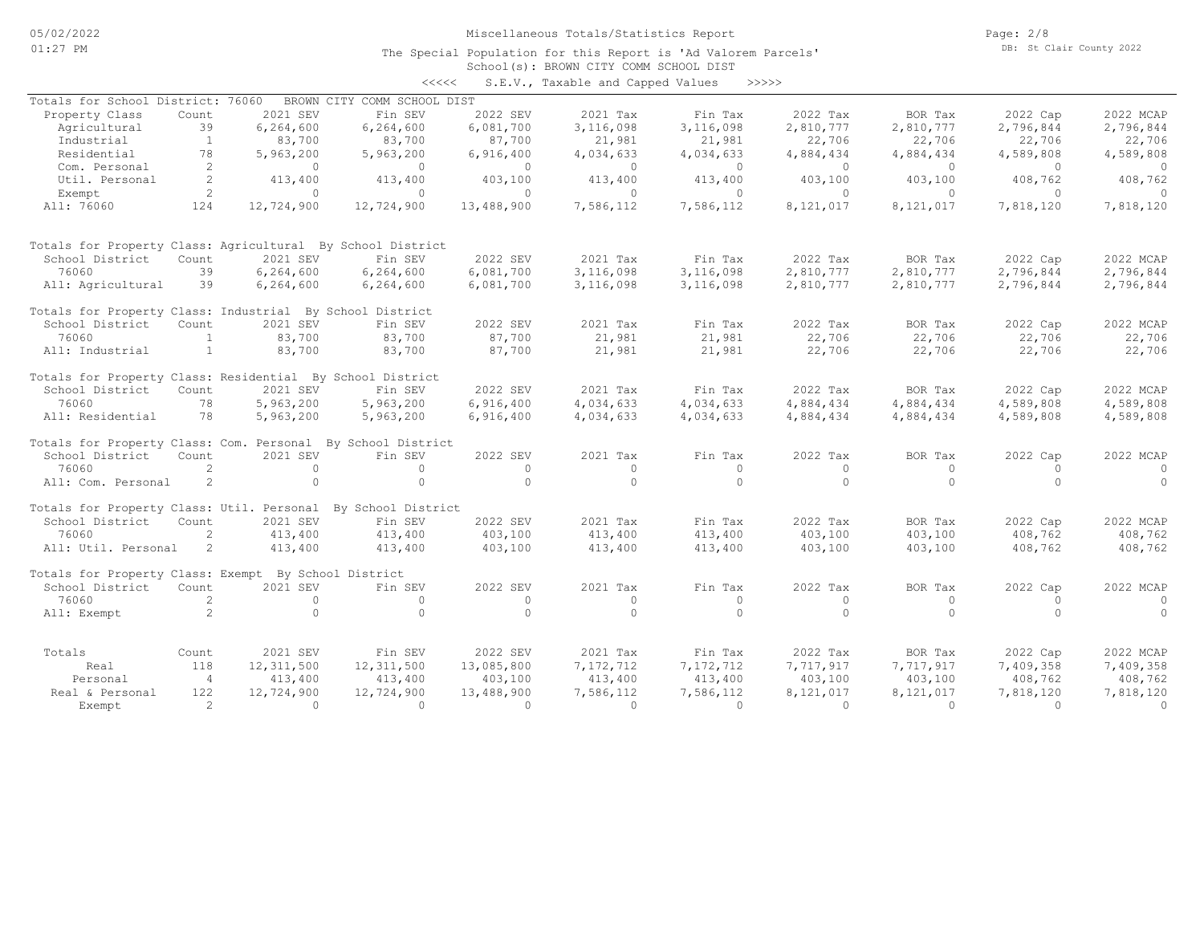The Special Population for this Report is 'Ad Valorem Parcels'

Page: 2/8 DB: St Clair County 2022

|                                                              |                |              |                             |            | School (s): BROWN CITY COMM SCHOOL DIST |           |           |           |           |           |
|--------------------------------------------------------------|----------------|--------------|-----------------------------|------------|-----------------------------------------|-----------|-----------|-----------|-----------|-----------|
|                                                              |                |              | <<<<                        |            | S.E.V., Taxable and Capped Values       |           | >>>>>     |           |           |           |
| Totals for School District: 76060                            |                |              | BROWN CITY COMM SCHOOL DIST |            |                                         |           |           |           |           |           |
| Property Class                                               | Count          | 2021 SEV     | Fin SEV                     | 2022 SEV   | 2021 Tax                                | Fin Tax   | 2022 Tax  | BOR Tax   | 2022 Cap  | 2022 MCAP |
| Agricultural                                                 | 39             | 6,264,600    | 6,264,600                   | 6,081,700  | 3,116,098                               | 3,116,098 | 2,810,777 | 2,810,777 | 2,796,844 | 2,796,844 |
| Industrial                                                   | <sup>1</sup>   | 83,700       | 83,700                      | 87,700     | 21,981                                  | 21,981    | 22,706    | 22,706    | 22,706    | 22,706    |
| Residential                                                  | 78             | 5,963,200    | 5,963,200                   | 6,916,400  | 4,034,633                               | 4,034,633 | 4,884,434 | 4,884,434 | 4,589,808 | 4,589,808 |
| Com. Personal                                                | 2              | $\Omega$     | $\Omega$                    | $\circ$    | $\circ$                                 | $\circ$   | $\circ$   | $\circ$   | $\circ$   | $\circ$   |
| Util. Personal                                               | 2              | 413,400      | 413,400                     | 403,100    | 413,400                                 | 413,400   | 403,100   | 403,100   | 408,762   | 408,762   |
| Exempt                                                       | $\overline{2}$ | $\Omega$     | $\Omega$                    | $\Omega$   | $\Omega$                                | $\circ$   | $\Omega$  | $\Omega$  | $\Omega$  | $\cap$    |
| All: 76060                                                   | 124            | 12,724,900   | 12,724,900                  | 13,488,900 | 7,586,112                               | 7,586,112 | 8,121,017 | 8,121,017 | 7,818,120 | 7,818,120 |
|                                                              |                |              |                             |            |                                         |           |           |           |           |           |
| Totals for Property Class: Agricultural By School District   |                |              |                             |            |                                         |           |           |           |           |           |
| School District                                              | Count          | 2021 SEV     | Fin SEV                     | 2022 SEV   | 2021 Tax                                | Fin Tax   | 2022 Tax  | BOR Tax   | 2022 Cap  | 2022 MCAP |
| 76060                                                        | 39             | 6,264,600    | 6,264,600                   | 6,081,700  | 3,116,098                               | 3,116,098 | 2,810,777 | 2,810,777 | 2,796,844 | 2,796,844 |
| All: Agricultural                                            | 39             | 6, 264, 600  | 6,264,600                   | 6,081,700  | 3,116,098                               | 3,116,098 | 2,810,777 | 2,810,777 | 2,796,844 | 2,796,844 |
| Totals for Property Class: Industrial By School District     |                |              |                             |            |                                         |           |           |           |           |           |
| School District                                              | Count          | 2021 SEV     | Fin SEV                     | 2022 SEV   | 2021 Tax                                | Fin Tax   | 2022 Tax  | BOR Tax   | 2022 Cap  | 2022 MCAP |
| 76060                                                        | $\overline{1}$ | 83,700       | 83,700                      | 87,700     | 21,981                                  | 21,981    | 22,706    | 22,706    | 22,706    | 22,706    |
| All: Industrial                                              | 1              | 83,700       | 83,700                      | 87,700     | 21,981                                  | 21,981    | 22,706    | 22,706    | 22,706    | 22,706    |
| Totals for Property Class: Residential By School District    |                |              |                             |            |                                         |           |           |           |           |           |
| School District                                              | Count          | 2021 SEV     | Fin SEV                     | 2022 SEV   | 2021 Tax                                | Fin Tax   | 2022 Tax  | BOR Tax   | 2022 Cap  | 2022 MCAP |
| 76060                                                        | 78             | 5,963,200    | 5,963,200                   | 6,916,400  | 4,034,633                               | 4,034,633 | 4,884,434 | 4,884,434 | 4,589,808 | 4,589,808 |
| All: Residential                                             | 78             | 5,963,200    | 5,963,200                   | 6,916,400  | 4,034,633                               | 4,034,633 | 4,884,434 | 4,884,434 | 4,589,808 | 4,589,808 |
| Totals for Property Class: Com. Personal By School District  |                |              |                             |            |                                         |           |           |           |           |           |
| School District                                              | Count          | 2021 SEV     | Fin SEV                     | 2022 SEV   | 2021 Tax                                | Fin Tax   | 2022 Tax  | BOR Tax   | 2022 Cap  | 2022 MCAP |
| 76060                                                        | 2              | $\circ$      | $\Omega$                    | $\circ$    | $\circ$                                 | $\circ$   | $\circ$   | $\Omega$  | $\Omega$  | $\Omega$  |
| All: Com. Personal                                           | 2              | $\Omega$     | $\Omega$                    | $\Omega$   | $\Omega$                                | $\Omega$  | $\Omega$  | $\Omega$  | $\Omega$  | $\Omega$  |
| Totals for Property Class: Util. Personal By School District |                |              |                             |            |                                         |           |           |           |           |           |
| School District                                              | Count          | 2021 SEV     | Fin SEV                     | 2022 SEV   | 2021 Tax                                | Fin Tax   | 2022 Tax  | BOR Tax   | 2022 Cap  | 2022 MCAP |
| 76060                                                        | 2              | 413,400      | 413,400                     | 403,100    | 413,400                                 | 413,400   | 403,100   | 403,100   | 408,762   | 408,762   |
| All: Util. Personal                                          | 2              | 413,400      | 413,400                     | 403,100    | 413,400                                 | 413,400   | 403,100   | 403,100   | 408,762   | 408,762   |
| Totals for Property Class: Exempt By School District         |                |              |                             |            |                                         |           |           |           |           |           |
| School District                                              | Count          | 2021 SEV     | Fin SEV                     | 2022 SEV   | 2021 Tax                                | Fin Tax   | 2022 Tax  | BOR Tax   | 2022 Cap  | 2022 MCAP |
| 76060                                                        | 2              | $\circ$      | $\Omega$                    | $\circ$    | $\circ$                                 | $\circ$   | $\circ$   | $\circ$   | $\Omega$  | $\circ$   |
| All: Exempt                                                  | $\overline{2}$ | $\circ$      | $\Omega$                    | $\circ$    | $\Omega$                                | $\Omega$  | $\Omega$  | $\circ$   | $\Omega$  | $\circ$   |
|                                                              |                |              |                             |            |                                         |           |           |           |           |           |
| Totals                                                       | Count          | 2021 SEV     | Fin SEV                     | 2022 SEV   | 2021 Tax                                | Fin Tax   | 2022 Tax  | BOR Tax   | 2022 Cap  | 2022 MCAP |
| Real                                                         | 118            | 12, 311, 500 | 12, 311, 500                | 13,085,800 | 7,172,712                               | 7,172,712 | 7,717,917 | 7,717,917 | 7,409,358 | 7,409,358 |
| Personal                                                     | $\overline{4}$ | 413,400      | 413,400                     | 403,100    | 413,400                                 | 413,400   | 403,100   | 403,100   | 408,762   | 408,762   |
| Real & Personal                                              | 122            | 12,724,900   | 12,724,900                  | 13,488,900 | 7,586,112                               | 7,586,112 | 8,121,017 | 8,121,017 | 7,818,120 | 7,818,120 |
| Exempt                                                       | $\mathcal{L}$  | $\Omega$     | $\Omega$                    | $\Omega$   | $\Omega$                                | $\Omega$  | $\Omega$  | $\Omega$  | $\Omega$  | $\Omega$  |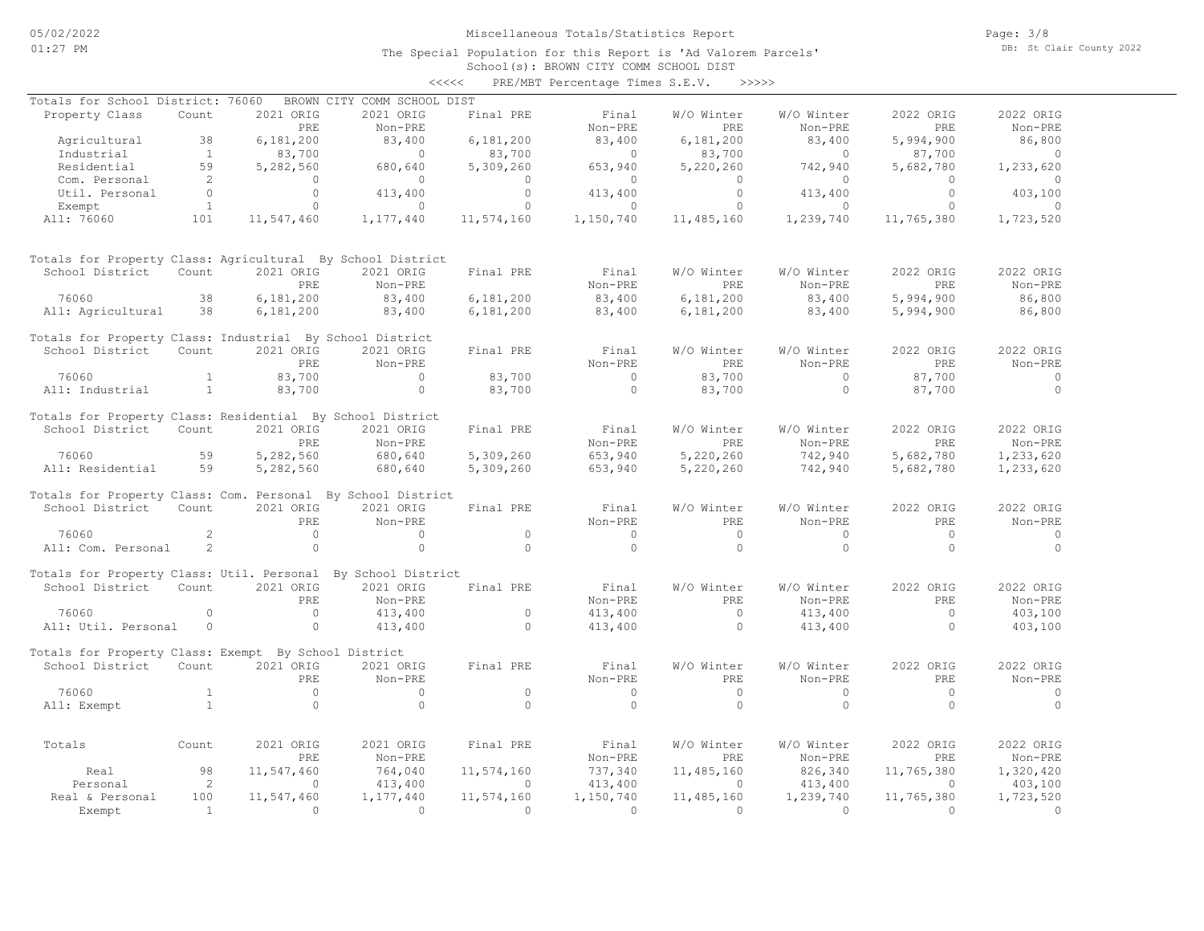School(s): BROWN CITY COMM SCHOOL DIST <<<<< PRE/MBT Percentage Times S.E.V. >>>>>

| Totals for School District: 76060                            |                |            | BROWN CITY COMM SCHOOL DIST |            |            |            |            |            |           |
|--------------------------------------------------------------|----------------|------------|-----------------------------|------------|------------|------------|------------|------------|-----------|
| Property Class                                               | Count          | 2021 ORIG  | 2021 ORIG                   | Final PRE  | Final      | W/O Winter | W/O Winter | 2022 ORIG  | 2022 ORIG |
|                                                              |                | PRE        | Non-PRE                     |            | Non-PRE    | PRE        | Non-PRE    | PRE        | Non-PRE   |
| Agricultural                                                 | 38             | 6,181,200  | 83,400                      | 6,181,200  | 83,400     | 6,181,200  | 83,400     | 5,994,900  | 86,800    |
| Industrial                                                   | $\mathbf{1}$   | 83,700     | $\circ$                     | 83,700     | $\bigcap$  | 83,700     | $\circ$    | 87,700     | $\circ$   |
| Residential                                                  | 59             | 5,282,560  | 680,640                     | 5,309,260  | 653,940    | 5,220,260  | 742,940    | 5,682,780  | 1,233,620 |
| Com. Personal                                                | 2              | $\Omega$   | $\Omega$                    | $\Omega$   | $\Omega$   | $\Omega$   | $\circ$    | $\Omega$   | $\Omega$  |
| Util. Personal                                               | $\Omega$       | $\Omega$   | 413,400                     | $\circ$    | 413,400    | $\Omega$   | 413,400    | $\Omega$   | 403,100   |
| Exempt                                                       | $\mathbf{1}$   | $\circ$    | $\circ$                     | $\circ$    | $\circ$    | $\Omega$   | $\circ$    | $\circ$    | $\circ$   |
| All: 76060                                                   | 101            | 11,547,460 | 1,177,440                   | 11,574,160 | 1,150,740  | 11,485,160 | 1,239,740  | 11,765,380 | 1,723,520 |
|                                                              |                |            |                             |            |            |            |            |            |           |
| Totals for Property Class: Agricultural By School District   |                |            |                             |            |            |            |            |            |           |
| School District                                              | Count          | 2021 ORIG  | 2021 ORIG                   | Final PRE  | Final      | W/O Winter | W/O Winter | 2022 ORIG  | 2022 ORIG |
|                                                              |                | PRE        | Non-PRE                     |            | Non-PRE    | PRE        | Non-PRE    | PRE        | Non-PRE   |
| 76060                                                        | 38             | 6,181,200  | 83,400                      | 6,181,200  | 83,400     | 6,181,200  | 83,400     | 5,994,900  | 86,800    |
| All: Agricultural                                            | 38             | 6,181,200  | 83,400                      | 6,181,200  | 83,400     | 6,181,200  | 83,400     | 5,994,900  | 86,800    |
| Totals for Property Class: Industrial By School District     |                |            |                             |            |            |            |            |            |           |
| School District                                              | Count          | 2021 ORIG  | 2021 ORIG                   | Final PRE  | Final      | W/O Winter | W/O Winter | 2022 ORIG  | 2022 ORIG |
|                                                              |                | PRE        | Non-PRE                     |            | Non-PRE    | PRE        | Non-PRE    | PRE        | Non-PRE   |
| 76060                                                        | $\mathbf{1}$   | 83,700     | $\Omega$                    | 83,700     | $\bigcirc$ | 83,700     | $\Omega$   | 87,700     | $\Omega$  |
| All: Industrial                                              | $\mathbf{1}$   | 83,700     | $\circ$                     | 83,700     | $\Omega$   | 83,700     | $\circ$    | 87,700     | $\Omega$  |
| Totals for Property Class: Residential By School District    |                |            |                             |            |            |            |            |            |           |
| School District                                              | Count          | 2021 ORIG  | 2021 ORIG                   | Final PRE  | Final      | W/O Winter | W/O Winter | 2022 ORIG  | 2022 ORIG |
|                                                              |                | PRE        | Non-PRE                     |            | Non-PRE    | PRE        | Non-PRE    | PRE        | Non-PRE   |
| 76060                                                        | 59             | 5,282,560  | 680,640                     | 5,309,260  | 653,940    | 5,220,260  | 742,940    | 5,682,780  | 1,233,620 |
| All: Residential                                             | 59             | 5,282,560  | 680,640                     | 5,309,260  | 653,940    | 5,220,260  | 742,940    | 5,682,780  | 1,233,620 |
| Totals for Property Class: Com. Personal By School District  |                |            |                             |            |            |            |            |            |           |
| School District                                              | Count          | 2021 ORIG  | 2021 ORIG                   | Final PRE  | Final      | W/O Winter | W/O Winter | 2022 ORIG  | 2022 ORIG |
|                                                              |                | PRE        | Non-PRE                     |            | Non-PRE    | PRE        | Non-PRE    | PRE        | Non-PRE   |
| 76060                                                        | 2              | $\Omega$   | $\Omega$                    | $\Omega$   | $\bigcirc$ | $\Omega$   | $\Omega$   | $\Omega$   | $\Omega$  |
| All: Com. Personal                                           | 2              | $\circ$    | $\circ$                     | $\Omega$   | $\Omega$   | $\Omega$   | $\circ$    | $\circ$    | $\Omega$  |
| Totals for Property Class: Util. Personal By School District |                |            |                             |            |            |            |            |            |           |
| School District                                              | Count          | 2021 ORIG  | 2021 ORIG                   | Final PRE  | Final      | W/O Winter | W/O Winter | 2022 ORIG  | 2022 ORIG |
|                                                              |                | PRE        | Non-PRE                     |            | Non-PRE    | PRE        | Non-PRE    | PRE        | Non-PRE   |
| 76060                                                        | $\circ$        | $\circ$    | 413,400                     | $\circ$    | 413,400    | $\circ$    | 413,400    | $\circ$    | 403,100   |
| All: Util. Personal                                          | $\circ$        | $\circ$    | 413,400                     | $\Omega$   | 413,400    | $\Omega$   | 413,400    | $\Omega$   | 403,100   |
|                                                              |                |            |                             |            |            |            |            |            |           |
| Totals for Property Class: Exempt By School District         |                |            |                             |            |            |            |            |            |           |
| School District                                              | Count          | 2021 ORIG  | 2021 ORIG                   | Final PRE  | Final      | W/O Winter | W/O Winter | 2022 ORIG  | 2022 ORIG |
|                                                              |                | PRE.       | Non-PRE                     |            | Non-PRE    | PRE.       | Non-PRE    | PRE        | Non-PRE   |
| 76060                                                        | $\mathbf{1}$   | $\Omega$   | $\Omega$                    | $\circ$    | $\Omega$   | $\Omega$   | $\circ$    | $\Omega$   | $\Omega$  |
| All: Exempt                                                  | $\mathbf{1}$   | $\Omega$   | $\Omega$                    | $\Omega$   | $\Omega$   | $\Omega$   | $\circ$    | $\Omega$   | $\Omega$  |
|                                                              |                |            |                             |            |            |            |            |            |           |
| Totals                                                       | Count          | 2021 ORIG  | 2021 ORIG                   | Final PRE  | Final      | W/O Winter | W/O Winter | 2022 ORIG  | 2022 ORIG |
|                                                              |                | PRE        | Non-PRE                     |            | Non-PRE    | PRE        | Non-PRE    | PRE        | Non-PRE   |
| Real                                                         | 98             | 11,547,460 | 764,040                     | 11,574,160 | 737,340    | 11,485,160 | 826,340    | 11,765,380 | 1,320,420 |
| Personal                                                     | 2              | $\cap$     | 413,400                     | $\bigcap$  | 413,400    | $\Omega$   | 413,400    | $\cap$     | 403,100   |
| Real & Personal                                              | 100            | 11,547,460 | 1,177,440                   | 11,574,160 | 1,150,740  | 11,485,160 | 1,239,740  | 11,765,380 | 1,723,520 |
| Exempt                                                       | $\overline{1}$ | $\Omega$   | $\Omega$                    | $\Omega$   | $\Omega$   | $\Omega$   | $\Omega$   | $\Omega$   | $\Omega$  |
|                                                              |                |            |                             |            |            |            |            |            |           |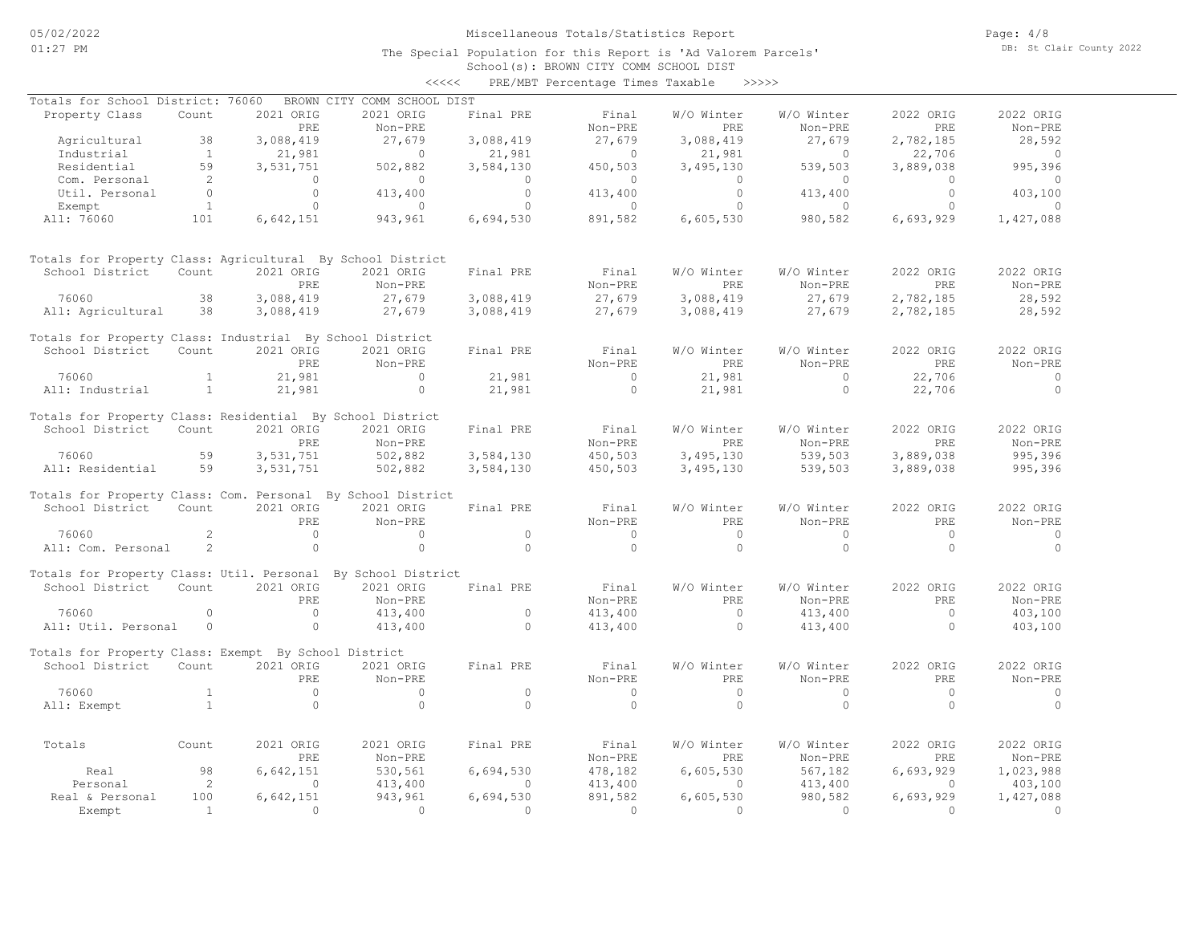School(s): BROWN CITY COMM SCHOOL DIST <<<<< PRE/MBT Percentage Times Taxable >>>>>

| Totals for School District: 76060                            |                            |                | BROWN CITY COMM SCHOOL DIST |                  |                |                |                |                |                |
|--------------------------------------------------------------|----------------------------|----------------|-----------------------------|------------------|----------------|----------------|----------------|----------------|----------------|
| Property Class                                               | Count                      | 2021 ORIG      | 2021 ORIG                   | Final PRE        | Final          | W/O Winter     | W/O Winter     | 2022 ORIG      | 2022 ORIG      |
|                                                              |                            | PRE            | Non-PRE                     |                  | Non-PRE        | PRE.           | Non-PRE        | PRE            | Non-PRE        |
| Agricultural                                                 | 38                         | 3,088,419      | 27,679                      | 3,088,419        | 27,679         | 3,088,419      | 27,679         | 2,782,185      | 28,592         |
| Industrial                                                   | $\sim$ 1                   | 21,981         | $\overline{0}$              | 21,981           | $\overline{0}$ | 21,981         | $\sim$ 0       | 22,706         | $\sim$ 0       |
| Residential                                                  | 59                         | 3,531,751      | 502,882                     | 3,584,130        | 450,503        | 3,495,130      | 539,503        | 3,889,038      | 995,396        |
|                                                              |                            |                | $\sim$ 0                    |                  | $\sim$ 0       | $\bigcirc$     | $\overline{0}$ | $\bigcirc$     | $\overline{0}$ |
| Com. Personal 2<br>Util. Personal 0<br>Exempt 1              |                            | $\overline{a}$ |                             | $\overline{0}$   |                |                | 413,400        |                |                |
|                                                              |                            | $\overline{0}$ | 413,400                     | $\overline{0}$   | 413,400        | $\overline{0}$ |                | $\overline{0}$ | 403,100        |
|                                                              |                            | $\bigcirc$     | $\overline{0}$              | $\overline{0}$   | $\overline{0}$ | $\bigcirc$     | $\Omega$       | $\bigcirc$     | $\sim$ 0       |
| All: 76060                                                   | 101                        | 6,642,151      | 943,961                     | 6,694,530        | 891,582        | 6,605,530      | 980,582        | 6,693,929      | 1,427,088      |
| Totals for Property Class: Agricultural By School District   |                            |                |                             |                  |                |                |                |                |                |
| School District Count                                        |                            | 2021 ORIG      | 2021 ORIG                   | Final PRE        | Final          | W/O Winter     | W/O Winter     | 2022 ORIG      | 2022 ORIG      |
|                                                              |                            | PRE            | Non-PRE                     |                  | Non-PRE        | <b>PRE</b>     | Non-PRE        | PRE            | Non-PRE        |
| 76060                                                        | 38                         | 3,088,419      | 27,679                      | 3,088,419        | 27,679         | 3,088,419      | 27,679         | 2,782,185      | 28,592         |
|                                                              |                            |                |                             |                  |                |                |                |                |                |
| All: Agricultural 38                                         |                            | 3,088,419      | 27,679                      | 3,088,419        | 27,679         | 3,088,419      | 27,679         | 2,782,185      | 28,592         |
| Totals for Property Class: Industrial By School District     |                            |                |                             |                  |                |                |                |                |                |
| School District                                              | Count                      | 2021 ORIG      | 2021 ORIG                   | Final PRE        | Final          | W/O Winter     | W/O Winter     | 2022 ORIG      | 2022 ORIG      |
|                                                              |                            | PRE            | Non-PRE                     |                  | Non-PRE        | PRE            | Non-PRE        | PRE            | Non-PRE        |
| 76060                                                        | $\mathbf{1}$               | 21,981         | $\overline{0}$              | 21,981<br>21,981 | $\overline{0}$ | 21,981         | $\sim$ 0       | 22,706         | $\overline{0}$ |
| All: Industrial                                              | $\sim$ 1                   | 21,981         | $\bigcirc$                  |                  | $\bigcirc$     | 21,981         | $\circ$        | 22,706         | $\overline{0}$ |
|                                                              |                            |                |                             |                  |                |                |                |                |                |
| Totals for Property Class: Residential By School District    |                            |                |                             |                  |                |                |                |                |                |
| School District Count                                        |                            | 2021 ORIG      | 2021 ORIG                   | Final PRE        | Final          | W/O Winter     | W/O Winter     | 2022 ORIG      | 2022 ORIG      |
|                                                              |                            | PRE            | Non-PRE                     |                  | Non-PRE        | PRE.           | Non-PRE        | PRE            | Non-PRE        |
| 76060                                                        | 59                         | 3,531,751      | 502,882                     | 3,584,130        | 450,503        | 3,495,130      | 539,503        | 3,889,038      | 995,396        |
| All: Residential 59                                          |                            | 3,531,751      | 502,882                     | 3,584,130        | 450,503        | 3,495,130      | 539,503        | 3,889,038      | 995,396        |
|                                                              |                            |                |                             |                  |                |                |                |                |                |
| Totals for Property Class: Com. Personal By School District  |                            |                |                             |                  |                |                |                |                |                |
| School District                                              | Count                      | 2021 ORIG      | 2021 ORIG                   | Final PRE        | Final          | W/O Winter     | W/O Winter     | 2022 ORIG      | 2022 ORIG      |
|                                                              |                            | PRE.           | Non-PRE                     |                  | Non-PRE        | PRE.           | Non-PRE        | PRE.           | Non-PRE        |
| 76060                                                        | 2                          | $\overline{0}$ | $\overline{0}$              | $\overline{0}$   | $\sim$ 0       | $\bigcirc$     | $\circ$        | $\overline{0}$ | $\sim$ 0       |
|                                                              |                            |                |                             | $\bigcap$        | $\bigcirc$     | $\Omega$       | $\Omega$       |                | $\Omega$       |
| All: Com. Personal                                           | 2                          | $\bigcirc$     | $\Omega$                    |                  |                |                |                | $\overline{0}$ |                |
| Totals for Property Class: Util. Personal By School District |                            |                |                             |                  |                |                |                |                |                |
| School District Count                                        |                            | 2021 ORIG      | 2021 ORIG                   | Final PRE        | Final          | W/O Winter     | W/O Winter     | 2022 ORIG      | 2022 ORIG      |
|                                                              |                            | PRE            | Non-PRE                     |                  | Non-PRE        | PRE            | Non-PRE        | PRE            | Non-PRE        |
| 76060                                                        | $\Omega$                   | $\overline{0}$ | 413,400                     | $\overline{0}$   | 413,400        | $\overline{0}$ | 413,400        | $\overline{0}$ | 403,100        |
| All: Util. Personal                                          | $\overline{0}$             | $\overline{0}$ | 413,400                     | $\Omega$         | 413,400        | $\bigcirc$     |                | $\overline{0}$ | 403,100        |
|                                                              |                            |                |                             |                  |                |                | 413,400        |                |                |
| Totals for Property Class: Exempt By School District         |                            |                |                             |                  |                |                |                |                |                |
| School District Count                                        |                            | 2021 ORIG      | 2021 ORIG                   | Final PRE        | Final          | W/O Winter     | W/O Winter     | 2022 ORIG      | 2022 ORIG      |
|                                                              |                            | PRE.           | Non-PRE                     |                  | Non-PRE        | PRE            | Non-PRE        | PRE            | Non-PRE        |
| 76060                                                        | <sup>1</sup>               | $\overline{0}$ | $\sim$ 0                    | $\Omega$         | $\overline{0}$ | $\overline{0}$ | $\circ$        | $\bigcirc$     | $\sim$ 0       |
|                                                              |                            |                |                             | $\Omega$         | $\Omega$       | $\Omega$       |                |                | $\Omega$       |
| All: Exempt                                                  | <b>Contract Contract 1</b> | $\Omega$       | $\Omega$                    |                  |                |                | $\circ$        | $\Omega$       |                |
|                                                              |                            |                |                             |                  |                |                |                |                |                |
| Totals                                                       | Count                      | 2021 ORIG      | 2021 ORIG                   | Final PRE        | Final          | W/O Winter     | W/O Winter     | 2022 ORIG      | 2022 ORIG      |
|                                                              |                            | PRE            | Non-PRE                     |                  | Non-PRE        | PRE            | Non-PRE        | PRE            | Non-PRE        |
| Real                                                         | 98                         | 6,642,151      | 530,561                     | 6,694,530        | 478,182        | 6,605,530      | 567,182        | 6,693,929      | 1,023,988      |
| Personal                                                     | $\overline{2}$             | $\Omega$       | 413,400                     | $\Omega$         | 413,400        | $\Omega$       | 413,400        | $\overline{0}$ | 403,100        |
| Real & Personal                                              | 100                        | 6,642,151      | 943,961                     | 6,694,530        | 891,582        | 6,605,530      | 980,582        | 6,693,929      | 1,427,088      |
| Exempt                                                       | $\sim$ 1                   | $\Omega$       | $\Omega$                    | $\Omega$         | $\sim$ 0       | $\Omega$       | $\Omega$       | $\cap$         | $\bigcirc$     |
|                                                              |                            |                |                             |                  |                |                |                |                |                |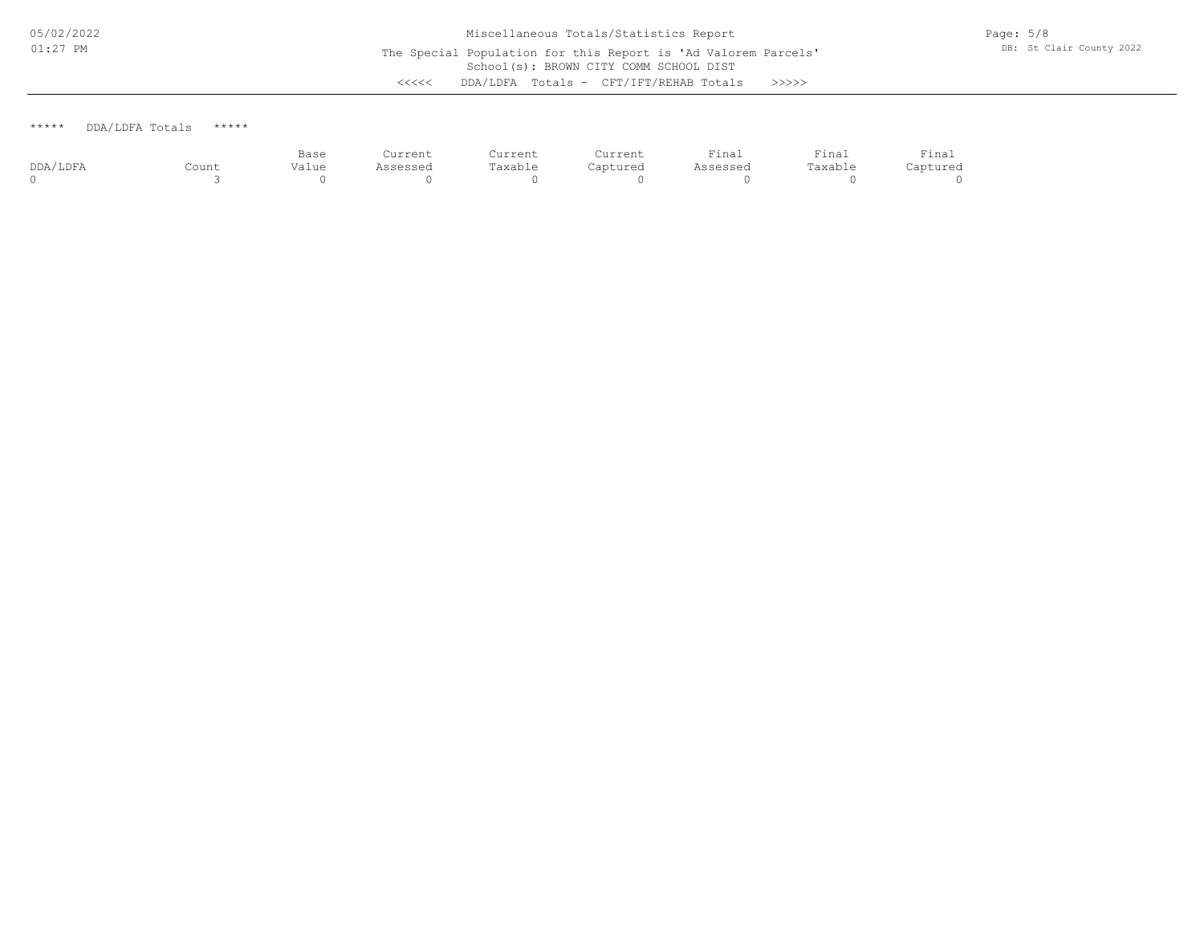### \*\*\*\*\* DDA/LDFA Totals \*\*\*\*\*

|          |       | Base  | Current  | Current | Current  | $ \cdot$<br>Tinal | Tinal   | Final<br>the contract of the contract of the contract of |
|----------|-------|-------|----------|---------|----------|-------------------|---------|----------------------------------------------------------|
| DDA/LDFA | Count | Value | Assessed | Taxable | Captured | Assessed          | Taxable | Captured                                                 |
|          |       |       |          |         |          |                   |         |                                                          |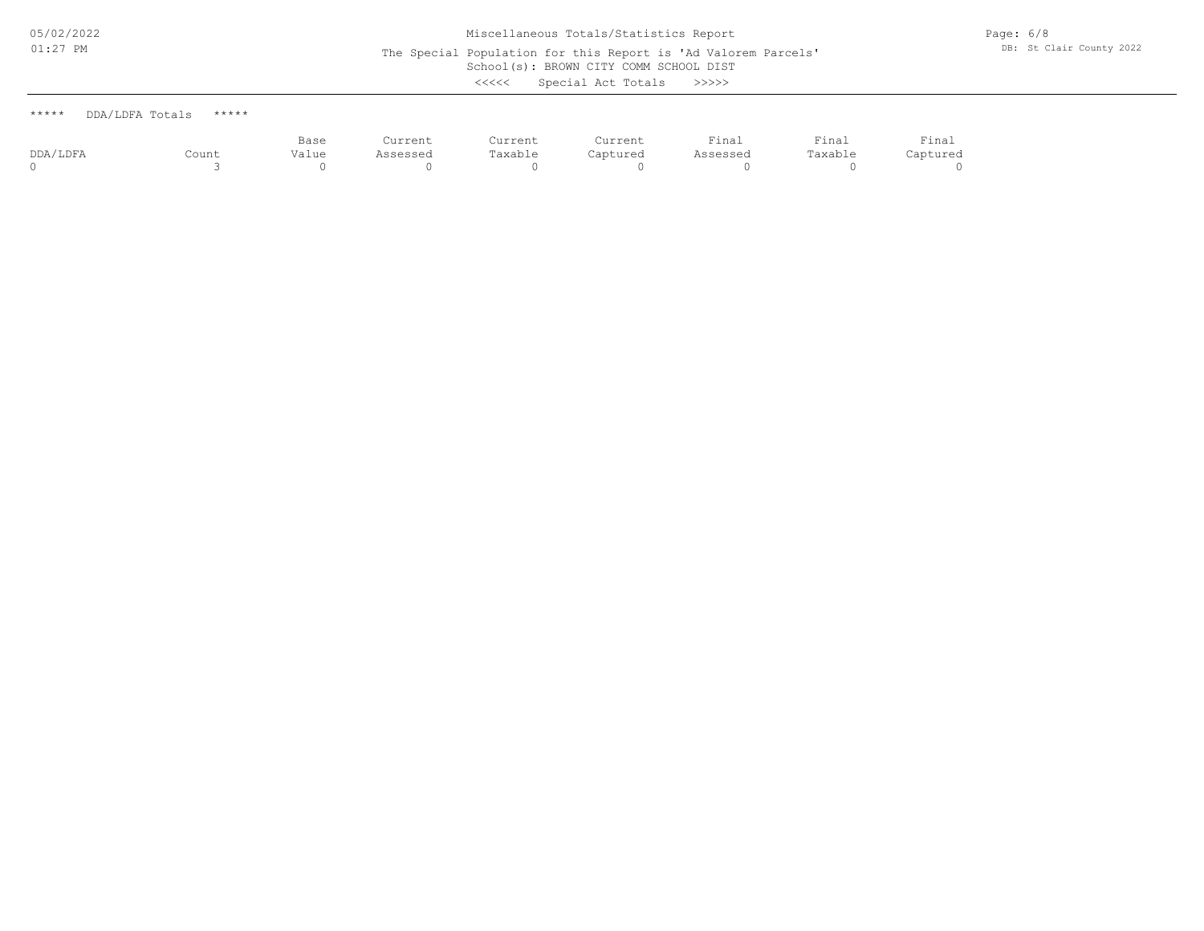# School(s): BROWN CITY COMM SCHOOL DIST Miscellaneous Totals/Statistics Report The Special Population for this Report is 'Ad Valorem Parcels' <<<<< Special Act Totals >>>>>

Page: 6/8 DB: St Clair County 2022

| こくくくく<br>Special Act Totals<br>>>>> |  |  |  |  |  |  |  |  |  |  |  |  |  |  |  |  |  |  |  |  |  |  |  |  |  |  |  |  |  |  |  |  |  |  |  |  |  |  |  |  |  |  |  |  |  |  |  |  |  |  |  |  |  |  |  |  |  |  |  |  |  |  |  |  |  |  |  |  |  |  |  |  |  |  |  |  |  |  |  |  |  |  |  |  |  |  |  |  |  |  |  |  |  |  |  |  |  |  |  |  |  |  |  |  |  |  |  |  |  |  |  |  |  |  |  |  |  |  |  |  |  |  |  |  |  |  |  |  |  |  |  |  |  |  |  |  |  |  |  |  |  |  |  |  |  |  |
|-------------------------------------|--|--|--|--|--|--|--|--|--|--|--|--|--|--|--|--|--|--|--|--|--|--|--|--|--|--|--|--|--|--|--|--|--|--|--|--|--|--|--|--|--|--|--|--|--|--|--|--|--|--|--|--|--|--|--|--|--|--|--|--|--|--|--|--|--|--|--|--|--|--|--|--|--|--|--|--|--|--|--|--|--|--|--|--|--|--|--|--|--|--|--|--|--|--|--|--|--|--|--|--|--|--|--|--|--|--|--|--|--|--|--|--|--|--|--|--|--|--|--|--|--|--|--|--|--|--|--|--|--|--|--|--|--|--|--|--|--|--|--|--|--|--|--|--|--|--|
|-------------------------------------|--|--|--|--|--|--|--|--|--|--|--|--|--|--|--|--|--|--|--|--|--|--|--|--|--|--|--|--|--|--|--|--|--|--|--|--|--|--|--|--|--|--|--|--|--|--|--|--|--|--|--|--|--|--|--|--|--|--|--|--|--|--|--|--|--|--|--|--|--|--|--|--|--|--|--|--|--|--|--|--|--|--|--|--|--|--|--|--|--|--|--|--|--|--|--|--|--|--|--|--|--|--|--|--|--|--|--|--|--|--|--|--|--|--|--|--|--|--|--|--|--|--|--|--|--|--|--|--|--|--|--|--|--|--|--|--|--|--|--|--|--|--|--|--|--|--|

|                             | <b>The contract of the contract of the contract of the contract of the contract of the contract of the contract of the contract of the contract of the contract of the contract of the contract of the contract of the contract </b> | $\sim$ $\sim$ |  |
|-----------------------------|--------------------------------------------------------------------------------------------------------------------------------------------------------------------------------------------------------------------------------------|---------------|--|
| ***** DDA/LDFA Totals ***** |                                                                                                                                                                                                                                      |               |  |

|          |       | Base  | Current  | Current | Current  | Final    | Final        | Final    |
|----------|-------|-------|----------|---------|----------|----------|--------------|----------|
| DDA/LDFA | Count | Value | Assessed | Taxable | Captured | Assessed | Taxable<br>. | Captured |
|          |       |       |          |         |          |          |              |          |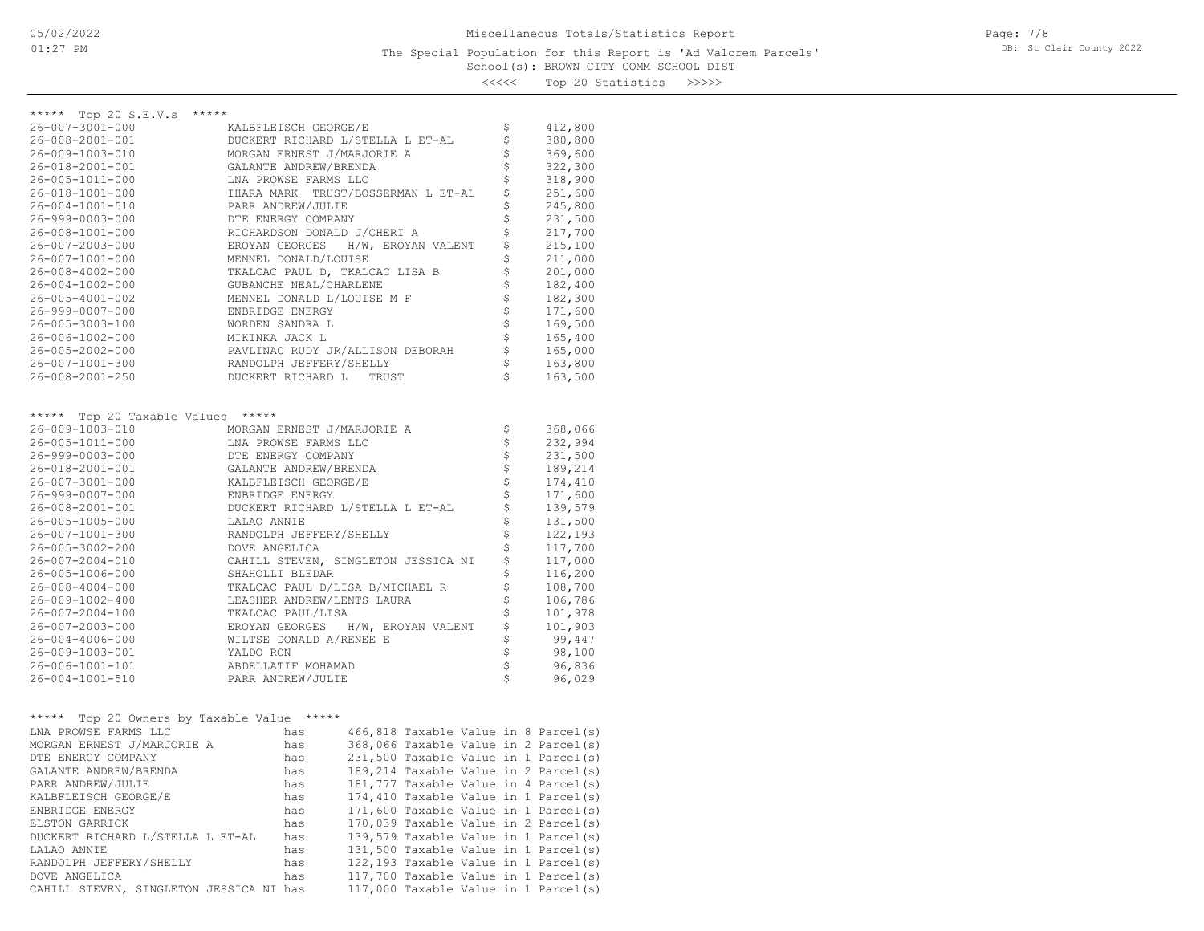<<<<< Top 20 Statistics >>>>>

| *****<br>\$<br>26-007-3001-000<br>KALBFLEISCH GEORGE/E<br>412,800<br>\$<br>380,800<br>26-008-2001-001<br>DUCKERT RICHARD L/STELLA L ET-AL<br>\$<br>MORGAN ERNEST J/MARJORIE A<br>369,600<br>26-009-1003-010<br>\$<br>322,300<br>26-018-2001-001<br>GALANTE ANDREW/BRENDA<br>\$<br>318,900<br>26-005-1011-000<br>LNA PROWSE FARMS LLC<br>\$<br>251,600<br>26-018-1001-000<br>IHARA MARK TRUST/BOSSERMAN L ET-AL<br>\$<br>245,800<br>26-004-1001-510<br>PARR ANDREW/JULIE<br>\$<br>$26 - 999 - 0003 - 000$<br>DTE ENERGY COMPANY<br>231,500<br>\$<br>$26 - 008 - 1001 - 000$<br>RICHARDSON DONALD J/CHERI A<br>217,700<br>\$<br>26-007-2003-000<br>EROYAN GEORGES H/W, EROYAN VALENT<br>215,100<br>\$<br>211,000<br>26-007-1001-000<br>MENNEL DONALD/LOUISE<br>\$<br>TKALCAC PAUL D, TKALCAC LISA B<br>201,000<br>$26 - 008 - 4002 - 000$<br>\$<br>GUBANCHE NEAL/CHARLENE<br>182,400<br>$26 - 004 - 1002 - 000$<br>\$<br>182,300<br>26-005-4001-002<br>MENNEL DONALD L/LOUISE M F<br>\$<br>171,600<br>$26 - 999 - 0007 - 000$<br>ENBRIDGE ENERGY<br>\$<br>169,500<br>26-005-3003-100<br>WORDEN SANDRA L<br>\$<br>165,400<br>26-006-1002-000<br>MIKINKA JACK L<br>\$<br>$26 - 005 - 2002 - 000$<br>PAVLINAC RUDY JR/ALLISON DEBORAH<br>165,000<br>\$<br>26-007-1001-300<br>RANDOLPH JEFFERY/SHELLY<br>163,800<br>\$<br>26-008-2001-250<br>DUCKERT RICHARD L<br>163,500<br>TRUST<br>*****<br>***** Top 20 Taxable Values<br>26-009-1003-010<br>\$<br>MORGAN ERNEST J/MARJORIE A<br>368,066<br>\$<br>232,994<br>26-005-1011-000<br>LNA PROWSE FARMS LLC<br>\$<br>26-999-0003-000<br>DTE ENERGY COMPANY<br>231,500<br>\$<br>189,214<br>26-018-2001-001<br>GALANTE ANDREW/BRENDA<br>\$<br>174,410<br>26-007-3001-000<br>KALBFLEISCH GEORGE/E<br>\$<br>26-999-0007-000<br>ENBRIDGE ENERGY<br>171,600<br>\$<br>139,579<br>26-008-2001-001<br>DUCKERT RICHARD L/STELLA L ET-AL<br>\$<br>131,500<br>26-005-1005-000<br>LALAO ANNIE<br>\$<br>122,193<br>26-007-1001-300<br>RANDOLPH JEFFERY/SHELLY<br>\$<br>117,700<br>$26 - 005 - 3002 - 200$<br>DOVE ANGELICA<br>\$<br>117,000<br>$26 - 007 - 2004 - 010$<br>CAHILL STEVEN, SINGLETON JESSICA NI<br>\$<br>26-005-1006-000<br>116,200<br>SHAHOLLI BLEDAR<br>\$<br>108,700<br>$26 - 008 - 4004 - 000$<br>TKALCAC PAUL D/LISA B/MICHAEL R<br>\$<br>106,786<br>26-009-1002-400<br>LEASHER ANDREW/LENTS LAURA<br>\$<br>101,978<br>$26 - 007 - 2004 - 100$<br>TKALCAC PAUL/LISA<br>\$<br>101,903<br>26-007-2003-000<br>EROYAN GEORGES<br>H/W, EROYAN VALENT<br>\$<br>WILTSE DONALD A/RENEE E<br>99,447<br>$26 - 004 - 4006 - 000$<br>\$<br>26-009-1003-001<br>YALDO RON<br>98,100<br>\$<br>26-006-1001-101<br>ABDELLATIF MOHAMAD<br>96,836<br>\$<br>26-004-1001-510<br>PARR ANDREW/JULIE<br>96,029<br>Top 20 Owners by Taxable Value *****<br>*****<br>LNA PROWSE FARMS LLC<br>466,818 Taxable Value in 8 Parcel(s)<br>has<br>368,066 Taxable Value in 2 Parcel(s)<br>MORGAN ERNEST J/MARJORIE A<br>has<br>231,500 Taxable Value in 1 Parcel(s)<br>DTE ENERGY COMPANY<br>has<br>189,214 Taxable Value in 2 Parcel(s)<br>GALANTE ANDREW/BRENDA<br>has<br>PARR ANDREW/JULIE<br>has<br>181,777 Taxable Value in 4 Parcel(s)<br>174,410 Taxable Value in 1 Parcel(s)<br>KALBFLEISCH GEORGE/E<br>has<br>ENBRIDGE ENERGY<br>171,600 Taxable Value in 1 Parcel(s)<br>has<br>170,039 Taxable Value in 2 Parcel(s)<br>ELSTON GARRICK<br>has<br>139,579 Taxable Value in 1 Parcel(s)<br>DUCKERT RICHARD L/STELLA L ET-AL<br>has<br>131,500 Taxable Value in 1 Parcel(s)<br>LALAO ANNIE<br>has<br>122,193 Taxable Value in 1 Parcel(s)<br>RANDOLPH JEFFERY/SHELLY<br>has<br>117,700 Taxable Value in 1 Parcel(s)<br>DOVE ANGELICA<br>has<br>CAHILL STEVEN, SINGLETON JESSICA NI has<br>117,000 Taxable Value in 1 Parcel(s) |                      |  |  |  |  |
|--------------------------------------------------------------------------------------------------------------------------------------------------------------------------------------------------------------------------------------------------------------------------------------------------------------------------------------------------------------------------------------------------------------------------------------------------------------------------------------------------------------------------------------------------------------------------------------------------------------------------------------------------------------------------------------------------------------------------------------------------------------------------------------------------------------------------------------------------------------------------------------------------------------------------------------------------------------------------------------------------------------------------------------------------------------------------------------------------------------------------------------------------------------------------------------------------------------------------------------------------------------------------------------------------------------------------------------------------------------------------------------------------------------------------------------------------------------------------------------------------------------------------------------------------------------------------------------------------------------------------------------------------------------------------------------------------------------------------------------------------------------------------------------------------------------------------------------------------------------------------------------------------------------------------------------------------------------------------------------------------------------------------------------------------------------------------------------------------------------------------------------------------------------------------------------------------------------------------------------------------------------------------------------------------------------------------------------------------------------------------------------------------------------------------------------------------------------------------------------------------------------------------------------------------------------------------------------------------------------------------------------------------------------------------------------------------------------------------------------------------------------------------------------------------------------------------------------------------------------------------------------------------------------------------------------------------------------------------------------------------------------------------------------------------------------------------------------------------------------------------------------------------------------------------------------------------------------------------------------------------------------------------------------------------------------------------------------------------------------------------------------------------------------------------------------------------------------------------------------------------------------------------------------------------------------------------------------------------------------------------------------------------------------------------------------------------------------------------------------------------|----------------------|--|--|--|--|
|                                                                                                                                                                                                                                                                                                                                                                                                                                                                                                                                                                                                                                                                                                                                                                                                                                                                                                                                                                                                                                                                                                                                                                                                                                                                                                                                                                                                                                                                                                                                                                                                                                                                                                                                                                                                                                                                                                                                                                                                                                                                                                                                                                                                                                                                                                                                                                                                                                                                                                                                                                                                                                                                                                                                                                                                                                                                                                                                                                                                                                                                                                                                                                                                                                                                                                                                                                                                                                                                                                                                                                                                                                                                                                                                                  | ***** Top 20 S.E.V.s |  |  |  |  |
|                                                                                                                                                                                                                                                                                                                                                                                                                                                                                                                                                                                                                                                                                                                                                                                                                                                                                                                                                                                                                                                                                                                                                                                                                                                                                                                                                                                                                                                                                                                                                                                                                                                                                                                                                                                                                                                                                                                                                                                                                                                                                                                                                                                                                                                                                                                                                                                                                                                                                                                                                                                                                                                                                                                                                                                                                                                                                                                                                                                                                                                                                                                                                                                                                                                                                                                                                                                                                                                                                                                                                                                                                                                                                                                                                  |                      |  |  |  |  |
|                                                                                                                                                                                                                                                                                                                                                                                                                                                                                                                                                                                                                                                                                                                                                                                                                                                                                                                                                                                                                                                                                                                                                                                                                                                                                                                                                                                                                                                                                                                                                                                                                                                                                                                                                                                                                                                                                                                                                                                                                                                                                                                                                                                                                                                                                                                                                                                                                                                                                                                                                                                                                                                                                                                                                                                                                                                                                                                                                                                                                                                                                                                                                                                                                                                                                                                                                                                                                                                                                                                                                                                                                                                                                                                                                  |                      |  |  |  |  |
|                                                                                                                                                                                                                                                                                                                                                                                                                                                                                                                                                                                                                                                                                                                                                                                                                                                                                                                                                                                                                                                                                                                                                                                                                                                                                                                                                                                                                                                                                                                                                                                                                                                                                                                                                                                                                                                                                                                                                                                                                                                                                                                                                                                                                                                                                                                                                                                                                                                                                                                                                                                                                                                                                                                                                                                                                                                                                                                                                                                                                                                                                                                                                                                                                                                                                                                                                                                                                                                                                                                                                                                                                                                                                                                                                  |                      |  |  |  |  |
|                                                                                                                                                                                                                                                                                                                                                                                                                                                                                                                                                                                                                                                                                                                                                                                                                                                                                                                                                                                                                                                                                                                                                                                                                                                                                                                                                                                                                                                                                                                                                                                                                                                                                                                                                                                                                                                                                                                                                                                                                                                                                                                                                                                                                                                                                                                                                                                                                                                                                                                                                                                                                                                                                                                                                                                                                                                                                                                                                                                                                                                                                                                                                                                                                                                                                                                                                                                                                                                                                                                                                                                                                                                                                                                                                  |                      |  |  |  |  |
|                                                                                                                                                                                                                                                                                                                                                                                                                                                                                                                                                                                                                                                                                                                                                                                                                                                                                                                                                                                                                                                                                                                                                                                                                                                                                                                                                                                                                                                                                                                                                                                                                                                                                                                                                                                                                                                                                                                                                                                                                                                                                                                                                                                                                                                                                                                                                                                                                                                                                                                                                                                                                                                                                                                                                                                                                                                                                                                                                                                                                                                                                                                                                                                                                                                                                                                                                                                                                                                                                                                                                                                                                                                                                                                                                  |                      |  |  |  |  |
|                                                                                                                                                                                                                                                                                                                                                                                                                                                                                                                                                                                                                                                                                                                                                                                                                                                                                                                                                                                                                                                                                                                                                                                                                                                                                                                                                                                                                                                                                                                                                                                                                                                                                                                                                                                                                                                                                                                                                                                                                                                                                                                                                                                                                                                                                                                                                                                                                                                                                                                                                                                                                                                                                                                                                                                                                                                                                                                                                                                                                                                                                                                                                                                                                                                                                                                                                                                                                                                                                                                                                                                                                                                                                                                                                  |                      |  |  |  |  |
|                                                                                                                                                                                                                                                                                                                                                                                                                                                                                                                                                                                                                                                                                                                                                                                                                                                                                                                                                                                                                                                                                                                                                                                                                                                                                                                                                                                                                                                                                                                                                                                                                                                                                                                                                                                                                                                                                                                                                                                                                                                                                                                                                                                                                                                                                                                                                                                                                                                                                                                                                                                                                                                                                                                                                                                                                                                                                                                                                                                                                                                                                                                                                                                                                                                                                                                                                                                                                                                                                                                                                                                                                                                                                                                                                  |                      |  |  |  |  |
|                                                                                                                                                                                                                                                                                                                                                                                                                                                                                                                                                                                                                                                                                                                                                                                                                                                                                                                                                                                                                                                                                                                                                                                                                                                                                                                                                                                                                                                                                                                                                                                                                                                                                                                                                                                                                                                                                                                                                                                                                                                                                                                                                                                                                                                                                                                                                                                                                                                                                                                                                                                                                                                                                                                                                                                                                                                                                                                                                                                                                                                                                                                                                                                                                                                                                                                                                                                                                                                                                                                                                                                                                                                                                                                                                  |                      |  |  |  |  |
|                                                                                                                                                                                                                                                                                                                                                                                                                                                                                                                                                                                                                                                                                                                                                                                                                                                                                                                                                                                                                                                                                                                                                                                                                                                                                                                                                                                                                                                                                                                                                                                                                                                                                                                                                                                                                                                                                                                                                                                                                                                                                                                                                                                                                                                                                                                                                                                                                                                                                                                                                                                                                                                                                                                                                                                                                                                                                                                                                                                                                                                                                                                                                                                                                                                                                                                                                                                                                                                                                                                                                                                                                                                                                                                                                  |                      |  |  |  |  |
|                                                                                                                                                                                                                                                                                                                                                                                                                                                                                                                                                                                                                                                                                                                                                                                                                                                                                                                                                                                                                                                                                                                                                                                                                                                                                                                                                                                                                                                                                                                                                                                                                                                                                                                                                                                                                                                                                                                                                                                                                                                                                                                                                                                                                                                                                                                                                                                                                                                                                                                                                                                                                                                                                                                                                                                                                                                                                                                                                                                                                                                                                                                                                                                                                                                                                                                                                                                                                                                                                                                                                                                                                                                                                                                                                  |                      |  |  |  |  |
|                                                                                                                                                                                                                                                                                                                                                                                                                                                                                                                                                                                                                                                                                                                                                                                                                                                                                                                                                                                                                                                                                                                                                                                                                                                                                                                                                                                                                                                                                                                                                                                                                                                                                                                                                                                                                                                                                                                                                                                                                                                                                                                                                                                                                                                                                                                                                                                                                                                                                                                                                                                                                                                                                                                                                                                                                                                                                                                                                                                                                                                                                                                                                                                                                                                                                                                                                                                                                                                                                                                                                                                                                                                                                                                                                  |                      |  |  |  |  |
|                                                                                                                                                                                                                                                                                                                                                                                                                                                                                                                                                                                                                                                                                                                                                                                                                                                                                                                                                                                                                                                                                                                                                                                                                                                                                                                                                                                                                                                                                                                                                                                                                                                                                                                                                                                                                                                                                                                                                                                                                                                                                                                                                                                                                                                                                                                                                                                                                                                                                                                                                                                                                                                                                                                                                                                                                                                                                                                                                                                                                                                                                                                                                                                                                                                                                                                                                                                                                                                                                                                                                                                                                                                                                                                                                  |                      |  |  |  |  |
|                                                                                                                                                                                                                                                                                                                                                                                                                                                                                                                                                                                                                                                                                                                                                                                                                                                                                                                                                                                                                                                                                                                                                                                                                                                                                                                                                                                                                                                                                                                                                                                                                                                                                                                                                                                                                                                                                                                                                                                                                                                                                                                                                                                                                                                                                                                                                                                                                                                                                                                                                                                                                                                                                                                                                                                                                                                                                                                                                                                                                                                                                                                                                                                                                                                                                                                                                                                                                                                                                                                                                                                                                                                                                                                                                  |                      |  |  |  |  |
|                                                                                                                                                                                                                                                                                                                                                                                                                                                                                                                                                                                                                                                                                                                                                                                                                                                                                                                                                                                                                                                                                                                                                                                                                                                                                                                                                                                                                                                                                                                                                                                                                                                                                                                                                                                                                                                                                                                                                                                                                                                                                                                                                                                                                                                                                                                                                                                                                                                                                                                                                                                                                                                                                                                                                                                                                                                                                                                                                                                                                                                                                                                                                                                                                                                                                                                                                                                                                                                                                                                                                                                                                                                                                                                                                  |                      |  |  |  |  |
|                                                                                                                                                                                                                                                                                                                                                                                                                                                                                                                                                                                                                                                                                                                                                                                                                                                                                                                                                                                                                                                                                                                                                                                                                                                                                                                                                                                                                                                                                                                                                                                                                                                                                                                                                                                                                                                                                                                                                                                                                                                                                                                                                                                                                                                                                                                                                                                                                                                                                                                                                                                                                                                                                                                                                                                                                                                                                                                                                                                                                                                                                                                                                                                                                                                                                                                                                                                                                                                                                                                                                                                                                                                                                                                                                  |                      |  |  |  |  |
|                                                                                                                                                                                                                                                                                                                                                                                                                                                                                                                                                                                                                                                                                                                                                                                                                                                                                                                                                                                                                                                                                                                                                                                                                                                                                                                                                                                                                                                                                                                                                                                                                                                                                                                                                                                                                                                                                                                                                                                                                                                                                                                                                                                                                                                                                                                                                                                                                                                                                                                                                                                                                                                                                                                                                                                                                                                                                                                                                                                                                                                                                                                                                                                                                                                                                                                                                                                                                                                                                                                                                                                                                                                                                                                                                  |                      |  |  |  |  |
|                                                                                                                                                                                                                                                                                                                                                                                                                                                                                                                                                                                                                                                                                                                                                                                                                                                                                                                                                                                                                                                                                                                                                                                                                                                                                                                                                                                                                                                                                                                                                                                                                                                                                                                                                                                                                                                                                                                                                                                                                                                                                                                                                                                                                                                                                                                                                                                                                                                                                                                                                                                                                                                                                                                                                                                                                                                                                                                                                                                                                                                                                                                                                                                                                                                                                                                                                                                                                                                                                                                                                                                                                                                                                                                                                  |                      |  |  |  |  |
|                                                                                                                                                                                                                                                                                                                                                                                                                                                                                                                                                                                                                                                                                                                                                                                                                                                                                                                                                                                                                                                                                                                                                                                                                                                                                                                                                                                                                                                                                                                                                                                                                                                                                                                                                                                                                                                                                                                                                                                                                                                                                                                                                                                                                                                                                                                                                                                                                                                                                                                                                                                                                                                                                                                                                                                                                                                                                                                                                                                                                                                                                                                                                                                                                                                                                                                                                                                                                                                                                                                                                                                                                                                                                                                                                  |                      |  |  |  |  |
|                                                                                                                                                                                                                                                                                                                                                                                                                                                                                                                                                                                                                                                                                                                                                                                                                                                                                                                                                                                                                                                                                                                                                                                                                                                                                                                                                                                                                                                                                                                                                                                                                                                                                                                                                                                                                                                                                                                                                                                                                                                                                                                                                                                                                                                                                                                                                                                                                                                                                                                                                                                                                                                                                                                                                                                                                                                                                                                                                                                                                                                                                                                                                                                                                                                                                                                                                                                                                                                                                                                                                                                                                                                                                                                                                  |                      |  |  |  |  |
|                                                                                                                                                                                                                                                                                                                                                                                                                                                                                                                                                                                                                                                                                                                                                                                                                                                                                                                                                                                                                                                                                                                                                                                                                                                                                                                                                                                                                                                                                                                                                                                                                                                                                                                                                                                                                                                                                                                                                                                                                                                                                                                                                                                                                                                                                                                                                                                                                                                                                                                                                                                                                                                                                                                                                                                                                                                                                                                                                                                                                                                                                                                                                                                                                                                                                                                                                                                                                                                                                                                                                                                                                                                                                                                                                  |                      |  |  |  |  |
|                                                                                                                                                                                                                                                                                                                                                                                                                                                                                                                                                                                                                                                                                                                                                                                                                                                                                                                                                                                                                                                                                                                                                                                                                                                                                                                                                                                                                                                                                                                                                                                                                                                                                                                                                                                                                                                                                                                                                                                                                                                                                                                                                                                                                                                                                                                                                                                                                                                                                                                                                                                                                                                                                                                                                                                                                                                                                                                                                                                                                                                                                                                                                                                                                                                                                                                                                                                                                                                                                                                                                                                                                                                                                                                                                  |                      |  |  |  |  |
|                                                                                                                                                                                                                                                                                                                                                                                                                                                                                                                                                                                                                                                                                                                                                                                                                                                                                                                                                                                                                                                                                                                                                                                                                                                                                                                                                                                                                                                                                                                                                                                                                                                                                                                                                                                                                                                                                                                                                                                                                                                                                                                                                                                                                                                                                                                                                                                                                                                                                                                                                                                                                                                                                                                                                                                                                                                                                                                                                                                                                                                                                                                                                                                                                                                                                                                                                                                                                                                                                                                                                                                                                                                                                                                                                  |                      |  |  |  |  |
|                                                                                                                                                                                                                                                                                                                                                                                                                                                                                                                                                                                                                                                                                                                                                                                                                                                                                                                                                                                                                                                                                                                                                                                                                                                                                                                                                                                                                                                                                                                                                                                                                                                                                                                                                                                                                                                                                                                                                                                                                                                                                                                                                                                                                                                                                                                                                                                                                                                                                                                                                                                                                                                                                                                                                                                                                                                                                                                                                                                                                                                                                                                                                                                                                                                                                                                                                                                                                                                                                                                                                                                                                                                                                                                                                  |                      |  |  |  |  |
|                                                                                                                                                                                                                                                                                                                                                                                                                                                                                                                                                                                                                                                                                                                                                                                                                                                                                                                                                                                                                                                                                                                                                                                                                                                                                                                                                                                                                                                                                                                                                                                                                                                                                                                                                                                                                                                                                                                                                                                                                                                                                                                                                                                                                                                                                                                                                                                                                                                                                                                                                                                                                                                                                                                                                                                                                                                                                                                                                                                                                                                                                                                                                                                                                                                                                                                                                                                                                                                                                                                                                                                                                                                                                                                                                  |                      |  |  |  |  |
|                                                                                                                                                                                                                                                                                                                                                                                                                                                                                                                                                                                                                                                                                                                                                                                                                                                                                                                                                                                                                                                                                                                                                                                                                                                                                                                                                                                                                                                                                                                                                                                                                                                                                                                                                                                                                                                                                                                                                                                                                                                                                                                                                                                                                                                                                                                                                                                                                                                                                                                                                                                                                                                                                                                                                                                                                                                                                                                                                                                                                                                                                                                                                                                                                                                                                                                                                                                                                                                                                                                                                                                                                                                                                                                                                  |                      |  |  |  |  |
|                                                                                                                                                                                                                                                                                                                                                                                                                                                                                                                                                                                                                                                                                                                                                                                                                                                                                                                                                                                                                                                                                                                                                                                                                                                                                                                                                                                                                                                                                                                                                                                                                                                                                                                                                                                                                                                                                                                                                                                                                                                                                                                                                                                                                                                                                                                                                                                                                                                                                                                                                                                                                                                                                                                                                                                                                                                                                                                                                                                                                                                                                                                                                                                                                                                                                                                                                                                                                                                                                                                                                                                                                                                                                                                                                  |                      |  |  |  |  |
|                                                                                                                                                                                                                                                                                                                                                                                                                                                                                                                                                                                                                                                                                                                                                                                                                                                                                                                                                                                                                                                                                                                                                                                                                                                                                                                                                                                                                                                                                                                                                                                                                                                                                                                                                                                                                                                                                                                                                                                                                                                                                                                                                                                                                                                                                                                                                                                                                                                                                                                                                                                                                                                                                                                                                                                                                                                                                                                                                                                                                                                                                                                                                                                                                                                                                                                                                                                                                                                                                                                                                                                                                                                                                                                                                  |                      |  |  |  |  |
|                                                                                                                                                                                                                                                                                                                                                                                                                                                                                                                                                                                                                                                                                                                                                                                                                                                                                                                                                                                                                                                                                                                                                                                                                                                                                                                                                                                                                                                                                                                                                                                                                                                                                                                                                                                                                                                                                                                                                                                                                                                                                                                                                                                                                                                                                                                                                                                                                                                                                                                                                                                                                                                                                                                                                                                                                                                                                                                                                                                                                                                                                                                                                                                                                                                                                                                                                                                                                                                                                                                                                                                                                                                                                                                                                  |                      |  |  |  |  |
|                                                                                                                                                                                                                                                                                                                                                                                                                                                                                                                                                                                                                                                                                                                                                                                                                                                                                                                                                                                                                                                                                                                                                                                                                                                                                                                                                                                                                                                                                                                                                                                                                                                                                                                                                                                                                                                                                                                                                                                                                                                                                                                                                                                                                                                                                                                                                                                                                                                                                                                                                                                                                                                                                                                                                                                                                                                                                                                                                                                                                                                                                                                                                                                                                                                                                                                                                                                                                                                                                                                                                                                                                                                                                                                                                  |                      |  |  |  |  |
|                                                                                                                                                                                                                                                                                                                                                                                                                                                                                                                                                                                                                                                                                                                                                                                                                                                                                                                                                                                                                                                                                                                                                                                                                                                                                                                                                                                                                                                                                                                                                                                                                                                                                                                                                                                                                                                                                                                                                                                                                                                                                                                                                                                                                                                                                                                                                                                                                                                                                                                                                                                                                                                                                                                                                                                                                                                                                                                                                                                                                                                                                                                                                                                                                                                                                                                                                                                                                                                                                                                                                                                                                                                                                                                                                  |                      |  |  |  |  |
|                                                                                                                                                                                                                                                                                                                                                                                                                                                                                                                                                                                                                                                                                                                                                                                                                                                                                                                                                                                                                                                                                                                                                                                                                                                                                                                                                                                                                                                                                                                                                                                                                                                                                                                                                                                                                                                                                                                                                                                                                                                                                                                                                                                                                                                                                                                                                                                                                                                                                                                                                                                                                                                                                                                                                                                                                                                                                                                                                                                                                                                                                                                                                                                                                                                                                                                                                                                                                                                                                                                                                                                                                                                                                                                                                  |                      |  |  |  |  |
|                                                                                                                                                                                                                                                                                                                                                                                                                                                                                                                                                                                                                                                                                                                                                                                                                                                                                                                                                                                                                                                                                                                                                                                                                                                                                                                                                                                                                                                                                                                                                                                                                                                                                                                                                                                                                                                                                                                                                                                                                                                                                                                                                                                                                                                                                                                                                                                                                                                                                                                                                                                                                                                                                                                                                                                                                                                                                                                                                                                                                                                                                                                                                                                                                                                                                                                                                                                                                                                                                                                                                                                                                                                                                                                                                  |                      |  |  |  |  |
|                                                                                                                                                                                                                                                                                                                                                                                                                                                                                                                                                                                                                                                                                                                                                                                                                                                                                                                                                                                                                                                                                                                                                                                                                                                                                                                                                                                                                                                                                                                                                                                                                                                                                                                                                                                                                                                                                                                                                                                                                                                                                                                                                                                                                                                                                                                                                                                                                                                                                                                                                                                                                                                                                                                                                                                                                                                                                                                                                                                                                                                                                                                                                                                                                                                                                                                                                                                                                                                                                                                                                                                                                                                                                                                                                  |                      |  |  |  |  |
|                                                                                                                                                                                                                                                                                                                                                                                                                                                                                                                                                                                                                                                                                                                                                                                                                                                                                                                                                                                                                                                                                                                                                                                                                                                                                                                                                                                                                                                                                                                                                                                                                                                                                                                                                                                                                                                                                                                                                                                                                                                                                                                                                                                                                                                                                                                                                                                                                                                                                                                                                                                                                                                                                                                                                                                                                                                                                                                                                                                                                                                                                                                                                                                                                                                                                                                                                                                                                                                                                                                                                                                                                                                                                                                                                  |                      |  |  |  |  |
|                                                                                                                                                                                                                                                                                                                                                                                                                                                                                                                                                                                                                                                                                                                                                                                                                                                                                                                                                                                                                                                                                                                                                                                                                                                                                                                                                                                                                                                                                                                                                                                                                                                                                                                                                                                                                                                                                                                                                                                                                                                                                                                                                                                                                                                                                                                                                                                                                                                                                                                                                                                                                                                                                                                                                                                                                                                                                                                                                                                                                                                                                                                                                                                                                                                                                                                                                                                                                                                                                                                                                                                                                                                                                                                                                  |                      |  |  |  |  |
|                                                                                                                                                                                                                                                                                                                                                                                                                                                                                                                                                                                                                                                                                                                                                                                                                                                                                                                                                                                                                                                                                                                                                                                                                                                                                                                                                                                                                                                                                                                                                                                                                                                                                                                                                                                                                                                                                                                                                                                                                                                                                                                                                                                                                                                                                                                                                                                                                                                                                                                                                                                                                                                                                                                                                                                                                                                                                                                                                                                                                                                                                                                                                                                                                                                                                                                                                                                                                                                                                                                                                                                                                                                                                                                                                  |                      |  |  |  |  |
|                                                                                                                                                                                                                                                                                                                                                                                                                                                                                                                                                                                                                                                                                                                                                                                                                                                                                                                                                                                                                                                                                                                                                                                                                                                                                                                                                                                                                                                                                                                                                                                                                                                                                                                                                                                                                                                                                                                                                                                                                                                                                                                                                                                                                                                                                                                                                                                                                                                                                                                                                                                                                                                                                                                                                                                                                                                                                                                                                                                                                                                                                                                                                                                                                                                                                                                                                                                                                                                                                                                                                                                                                                                                                                                                                  |                      |  |  |  |  |
|                                                                                                                                                                                                                                                                                                                                                                                                                                                                                                                                                                                                                                                                                                                                                                                                                                                                                                                                                                                                                                                                                                                                                                                                                                                                                                                                                                                                                                                                                                                                                                                                                                                                                                                                                                                                                                                                                                                                                                                                                                                                                                                                                                                                                                                                                                                                                                                                                                                                                                                                                                                                                                                                                                                                                                                                                                                                                                                                                                                                                                                                                                                                                                                                                                                                                                                                                                                                                                                                                                                                                                                                                                                                                                                                                  |                      |  |  |  |  |
|                                                                                                                                                                                                                                                                                                                                                                                                                                                                                                                                                                                                                                                                                                                                                                                                                                                                                                                                                                                                                                                                                                                                                                                                                                                                                                                                                                                                                                                                                                                                                                                                                                                                                                                                                                                                                                                                                                                                                                                                                                                                                                                                                                                                                                                                                                                                                                                                                                                                                                                                                                                                                                                                                                                                                                                                                                                                                                                                                                                                                                                                                                                                                                                                                                                                                                                                                                                                                                                                                                                                                                                                                                                                                                                                                  |                      |  |  |  |  |
|                                                                                                                                                                                                                                                                                                                                                                                                                                                                                                                                                                                                                                                                                                                                                                                                                                                                                                                                                                                                                                                                                                                                                                                                                                                                                                                                                                                                                                                                                                                                                                                                                                                                                                                                                                                                                                                                                                                                                                                                                                                                                                                                                                                                                                                                                                                                                                                                                                                                                                                                                                                                                                                                                                                                                                                                                                                                                                                                                                                                                                                                                                                                                                                                                                                                                                                                                                                                                                                                                                                                                                                                                                                                                                                                                  |                      |  |  |  |  |
|                                                                                                                                                                                                                                                                                                                                                                                                                                                                                                                                                                                                                                                                                                                                                                                                                                                                                                                                                                                                                                                                                                                                                                                                                                                                                                                                                                                                                                                                                                                                                                                                                                                                                                                                                                                                                                                                                                                                                                                                                                                                                                                                                                                                                                                                                                                                                                                                                                                                                                                                                                                                                                                                                                                                                                                                                                                                                                                                                                                                                                                                                                                                                                                                                                                                                                                                                                                                                                                                                                                                                                                                                                                                                                                                                  |                      |  |  |  |  |
|                                                                                                                                                                                                                                                                                                                                                                                                                                                                                                                                                                                                                                                                                                                                                                                                                                                                                                                                                                                                                                                                                                                                                                                                                                                                                                                                                                                                                                                                                                                                                                                                                                                                                                                                                                                                                                                                                                                                                                                                                                                                                                                                                                                                                                                                                                                                                                                                                                                                                                                                                                                                                                                                                                                                                                                                                                                                                                                                                                                                                                                                                                                                                                                                                                                                                                                                                                                                                                                                                                                                                                                                                                                                                                                                                  |                      |  |  |  |  |
|                                                                                                                                                                                                                                                                                                                                                                                                                                                                                                                                                                                                                                                                                                                                                                                                                                                                                                                                                                                                                                                                                                                                                                                                                                                                                                                                                                                                                                                                                                                                                                                                                                                                                                                                                                                                                                                                                                                                                                                                                                                                                                                                                                                                                                                                                                                                                                                                                                                                                                                                                                                                                                                                                                                                                                                                                                                                                                                                                                                                                                                                                                                                                                                                                                                                                                                                                                                                                                                                                                                                                                                                                                                                                                                                                  |                      |  |  |  |  |
|                                                                                                                                                                                                                                                                                                                                                                                                                                                                                                                                                                                                                                                                                                                                                                                                                                                                                                                                                                                                                                                                                                                                                                                                                                                                                                                                                                                                                                                                                                                                                                                                                                                                                                                                                                                                                                                                                                                                                                                                                                                                                                                                                                                                                                                                                                                                                                                                                                                                                                                                                                                                                                                                                                                                                                                                                                                                                                                                                                                                                                                                                                                                                                                                                                                                                                                                                                                                                                                                                                                                                                                                                                                                                                                                                  |                      |  |  |  |  |
|                                                                                                                                                                                                                                                                                                                                                                                                                                                                                                                                                                                                                                                                                                                                                                                                                                                                                                                                                                                                                                                                                                                                                                                                                                                                                                                                                                                                                                                                                                                                                                                                                                                                                                                                                                                                                                                                                                                                                                                                                                                                                                                                                                                                                                                                                                                                                                                                                                                                                                                                                                                                                                                                                                                                                                                                                                                                                                                                                                                                                                                                                                                                                                                                                                                                                                                                                                                                                                                                                                                                                                                                                                                                                                                                                  |                      |  |  |  |  |
|                                                                                                                                                                                                                                                                                                                                                                                                                                                                                                                                                                                                                                                                                                                                                                                                                                                                                                                                                                                                                                                                                                                                                                                                                                                                                                                                                                                                                                                                                                                                                                                                                                                                                                                                                                                                                                                                                                                                                                                                                                                                                                                                                                                                                                                                                                                                                                                                                                                                                                                                                                                                                                                                                                                                                                                                                                                                                                                                                                                                                                                                                                                                                                                                                                                                                                                                                                                                                                                                                                                                                                                                                                                                                                                                                  |                      |  |  |  |  |
|                                                                                                                                                                                                                                                                                                                                                                                                                                                                                                                                                                                                                                                                                                                                                                                                                                                                                                                                                                                                                                                                                                                                                                                                                                                                                                                                                                                                                                                                                                                                                                                                                                                                                                                                                                                                                                                                                                                                                                                                                                                                                                                                                                                                                                                                                                                                                                                                                                                                                                                                                                                                                                                                                                                                                                                                                                                                                                                                                                                                                                                                                                                                                                                                                                                                                                                                                                                                                                                                                                                                                                                                                                                                                                                                                  |                      |  |  |  |  |
|                                                                                                                                                                                                                                                                                                                                                                                                                                                                                                                                                                                                                                                                                                                                                                                                                                                                                                                                                                                                                                                                                                                                                                                                                                                                                                                                                                                                                                                                                                                                                                                                                                                                                                                                                                                                                                                                                                                                                                                                                                                                                                                                                                                                                                                                                                                                                                                                                                                                                                                                                                                                                                                                                                                                                                                                                                                                                                                                                                                                                                                                                                                                                                                                                                                                                                                                                                                                                                                                                                                                                                                                                                                                                                                                                  |                      |  |  |  |  |
|                                                                                                                                                                                                                                                                                                                                                                                                                                                                                                                                                                                                                                                                                                                                                                                                                                                                                                                                                                                                                                                                                                                                                                                                                                                                                                                                                                                                                                                                                                                                                                                                                                                                                                                                                                                                                                                                                                                                                                                                                                                                                                                                                                                                                                                                                                                                                                                                                                                                                                                                                                                                                                                                                                                                                                                                                                                                                                                                                                                                                                                                                                                                                                                                                                                                                                                                                                                                                                                                                                                                                                                                                                                                                                                                                  |                      |  |  |  |  |
|                                                                                                                                                                                                                                                                                                                                                                                                                                                                                                                                                                                                                                                                                                                                                                                                                                                                                                                                                                                                                                                                                                                                                                                                                                                                                                                                                                                                                                                                                                                                                                                                                                                                                                                                                                                                                                                                                                                                                                                                                                                                                                                                                                                                                                                                                                                                                                                                                                                                                                                                                                                                                                                                                                                                                                                                                                                                                                                                                                                                                                                                                                                                                                                                                                                                                                                                                                                                                                                                                                                                                                                                                                                                                                                                                  |                      |  |  |  |  |
|                                                                                                                                                                                                                                                                                                                                                                                                                                                                                                                                                                                                                                                                                                                                                                                                                                                                                                                                                                                                                                                                                                                                                                                                                                                                                                                                                                                                                                                                                                                                                                                                                                                                                                                                                                                                                                                                                                                                                                                                                                                                                                                                                                                                                                                                                                                                                                                                                                                                                                                                                                                                                                                                                                                                                                                                                                                                                                                                                                                                                                                                                                                                                                                                                                                                                                                                                                                                                                                                                                                                                                                                                                                                                                                                                  |                      |  |  |  |  |
|                                                                                                                                                                                                                                                                                                                                                                                                                                                                                                                                                                                                                                                                                                                                                                                                                                                                                                                                                                                                                                                                                                                                                                                                                                                                                                                                                                                                                                                                                                                                                                                                                                                                                                                                                                                                                                                                                                                                                                                                                                                                                                                                                                                                                                                                                                                                                                                                                                                                                                                                                                                                                                                                                                                                                                                                                                                                                                                                                                                                                                                                                                                                                                                                                                                                                                                                                                                                                                                                                                                                                                                                                                                                                                                                                  |                      |  |  |  |  |
|                                                                                                                                                                                                                                                                                                                                                                                                                                                                                                                                                                                                                                                                                                                                                                                                                                                                                                                                                                                                                                                                                                                                                                                                                                                                                                                                                                                                                                                                                                                                                                                                                                                                                                                                                                                                                                                                                                                                                                                                                                                                                                                                                                                                                                                                                                                                                                                                                                                                                                                                                                                                                                                                                                                                                                                                                                                                                                                                                                                                                                                                                                                                                                                                                                                                                                                                                                                                                                                                                                                                                                                                                                                                                                                                                  |                      |  |  |  |  |
|                                                                                                                                                                                                                                                                                                                                                                                                                                                                                                                                                                                                                                                                                                                                                                                                                                                                                                                                                                                                                                                                                                                                                                                                                                                                                                                                                                                                                                                                                                                                                                                                                                                                                                                                                                                                                                                                                                                                                                                                                                                                                                                                                                                                                                                                                                                                                                                                                                                                                                                                                                                                                                                                                                                                                                                                                                                                                                                                                                                                                                                                                                                                                                                                                                                                                                                                                                                                                                                                                                                                                                                                                                                                                                                                                  |                      |  |  |  |  |
|                                                                                                                                                                                                                                                                                                                                                                                                                                                                                                                                                                                                                                                                                                                                                                                                                                                                                                                                                                                                                                                                                                                                                                                                                                                                                                                                                                                                                                                                                                                                                                                                                                                                                                                                                                                                                                                                                                                                                                                                                                                                                                                                                                                                                                                                                                                                                                                                                                                                                                                                                                                                                                                                                                                                                                                                                                                                                                                                                                                                                                                                                                                                                                                                                                                                                                                                                                                                                                                                                                                                                                                                                                                                                                                                                  |                      |  |  |  |  |
|                                                                                                                                                                                                                                                                                                                                                                                                                                                                                                                                                                                                                                                                                                                                                                                                                                                                                                                                                                                                                                                                                                                                                                                                                                                                                                                                                                                                                                                                                                                                                                                                                                                                                                                                                                                                                                                                                                                                                                                                                                                                                                                                                                                                                                                                                                                                                                                                                                                                                                                                                                                                                                                                                                                                                                                                                                                                                                                                                                                                                                                                                                                                                                                                                                                                                                                                                                                                                                                                                                                                                                                                                                                                                                                                                  |                      |  |  |  |  |
|                                                                                                                                                                                                                                                                                                                                                                                                                                                                                                                                                                                                                                                                                                                                                                                                                                                                                                                                                                                                                                                                                                                                                                                                                                                                                                                                                                                                                                                                                                                                                                                                                                                                                                                                                                                                                                                                                                                                                                                                                                                                                                                                                                                                                                                                                                                                                                                                                                                                                                                                                                                                                                                                                                                                                                                                                                                                                                                                                                                                                                                                                                                                                                                                                                                                                                                                                                                                                                                                                                                                                                                                                                                                                                                                                  |                      |  |  |  |  |
|                                                                                                                                                                                                                                                                                                                                                                                                                                                                                                                                                                                                                                                                                                                                                                                                                                                                                                                                                                                                                                                                                                                                                                                                                                                                                                                                                                                                                                                                                                                                                                                                                                                                                                                                                                                                                                                                                                                                                                                                                                                                                                                                                                                                                                                                                                                                                                                                                                                                                                                                                                                                                                                                                                                                                                                                                                                                                                                                                                                                                                                                                                                                                                                                                                                                                                                                                                                                                                                                                                                                                                                                                                                                                                                                                  |                      |  |  |  |  |
|                                                                                                                                                                                                                                                                                                                                                                                                                                                                                                                                                                                                                                                                                                                                                                                                                                                                                                                                                                                                                                                                                                                                                                                                                                                                                                                                                                                                                                                                                                                                                                                                                                                                                                                                                                                                                                                                                                                                                                                                                                                                                                                                                                                                                                                                                                                                                                                                                                                                                                                                                                                                                                                                                                                                                                                                                                                                                                                                                                                                                                                                                                                                                                                                                                                                                                                                                                                                                                                                                                                                                                                                                                                                                                                                                  |                      |  |  |  |  |